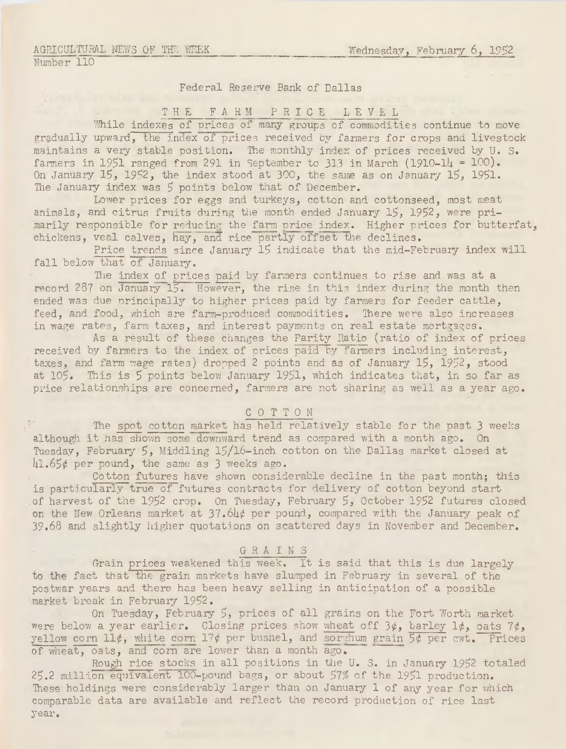## Federal Reserve Bank of Dallas

#### THE FARM PRICE LEVEL

While indexes of prices of many groups of commodities continue to move gradually upward, the index of prices received by farmers for crops and livestock maintains a very stable position. The monthly index of prices received by U. S. farmers in  $1951$  ranged from 291 in September to 313 in March (1910- $1/4 = 100$ ). On January  $15$ ,  $1952$ , the index stood at 300, the same as on January  $15$ ,  $1951$ . The January index was 5 points below that of December.

Lower prices for eggs and turkeys, cotton and cottonseed, most meat animals, and citrus fruits during the month ended January 15, 1952, were primarily responsible for reducing the farm price index. Higher prices for butterfat, chickens, veal calves, hay, and rice partly offset the declines.

Price trends since January 15 indicate that the mid-February index will fall below that of January.

The index of prices paid by farmers continues to rise and was at a record 287 on January  $15.$  However, the rise in this index during the month then ended was due principally to higher prices paid by farmers for feeder cattle, feed, and food, which are farm-produced commodities. There were also increases in wage rates, farm taxes, and interest payments on real estate mortgages.

As a result of these changes the Parity Ratio (ratio of index of prices received by farmers to the index of prices paid by farmers including interest, taxes, and farm wage rates) dropped 2 points and as of January 15, 1952, stood at 105. This is 5 points below January 1951, which indicates that, in so far as price relationships are concerned, farmers are not sharing as well as a year ago.

#### COTTON

. The spot cotton market has held relatively stable for the past 3 weeks although it has shown some downward trend as compared with a month ago. On Tuesday, February 5, Middling l5/l6-inch cotton on the Dallas market closed at 41.65¢ per pound, the same as 3 weeks ago.

Cotton futures have shown considerable decline in the past month; this is particularly true of futures contracts for delivery of cotton beyond start of harvest of the 1952 crop. On Tuesday, February 5, October 1952 futures closed on the New Orleans market at  $37.64$  $\psi$  per pound, compared with the January peak of 39.68 and slightly higher quotations on scattered days in November and December.

### GRAINS

Grain prices weakened this week. It is said that this is due largely to the fact that the grain markets have slumped in February in several of the postwar years and there has been heavy selling in anticipation of a possible market break in Februaiy 1952.

On Tuesday, February 5, prices of all grains on the Fort Worth market were below a year earlier. Closing prices show wheat off  $3\phi$ , barley  $1\phi$ , oats  $7\phi$ , yellow corn  $11¢$ , white corn  $17¢$  per bushel, and sorghum grain  $5¢$  per cwt. Prices of wheat, oats, and com are lower than a month ago.

Rough rice stocks in all positions in the U. S. in January 1952 totaled 25.2 million equivalent 100-pound bags, or about 57% of the 1951 production. These holdings were considerably larger than on January 1 of any year for which comparable data are available and reflect the record production of rice last year.